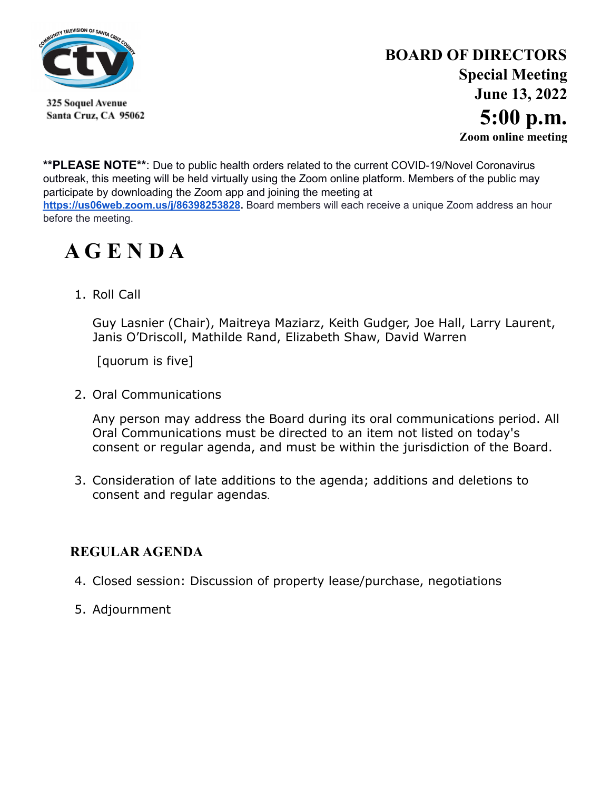

325 Soquel Avenue Santa Cruz, CA 95062

### **BOARD OF DIRECTORS Special Meeting June 13, 2022 5:00 p.m. Zoom online meeting**

**\*\*PLEASE NOTE\*\***: Due to public health orders related to the current COVID-19/Novel Coronavirus outbreak, this meeting will be held virtually using the Zoom online platform. Members of the public may participate by downloading the Zoom app and joining the meeting at **<https://us06web.zoom.us/j/86398253828>.** Board members will each receive a unique Zoom address an hour before the meeting.

# **A G E N D A**

1. Roll Call

Guy Lasnier (Chair), Maitreya Maziarz, Keith Gudger, Joe Hall, Larry Laurent, Janis O'Driscoll, Mathilde Rand, Elizabeth Shaw, David Warren

[quorum is five]

2. Oral Communications

Any person may address the Board during its oral communications period. All Oral Communications must be directed to an item not listed on today's consent or regular agenda, and must be within the jurisdiction of the Board.

3. Consideration of late additions to the agenda; additions and deletions to consent and regular agendas.

### **REGULAR AGENDA**

- 4. Closed session: Discussion of property lease/purchase, negotiations
- 5. Adjournment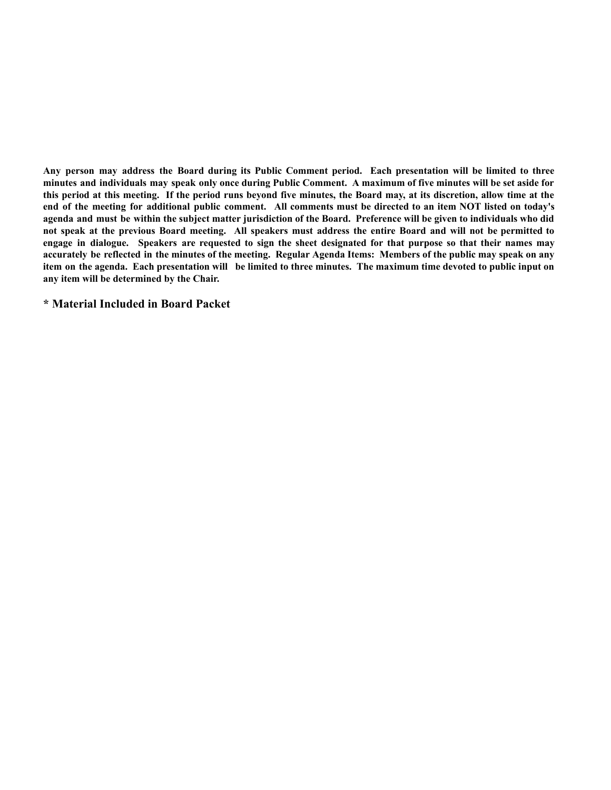Any person may address the Board during its Public Comment period. Each presentation will be limited to three minutes and individuals may speak only once during Public Comment. A maximum of five minutes will be set aside for this period at this meeting. If the period runs beyond five minutes, the Board may, at its discretion, allow time at the end of the meeting for additional public comment. All comments must be directed to an item NOT listed on today's agenda and must be within the subject matter jurisdiction of the Board. Preference will be given to individuals who did not speak at the previous Board meeting. All speakers must address the entire Board and will not be permitted to engage in dialogue. Speakers are requested to sign the sheet designated for that purpose so that their names may accurately be reflected in the minutes of the meeting. Regular Agenda Items: Members of the public may speak on any item on the agenda. Each presentation will be limited to three minutes. The maximum time devoted to public input on **any item will be determined by the Chair.**

**\* Material Included in Board Packet**